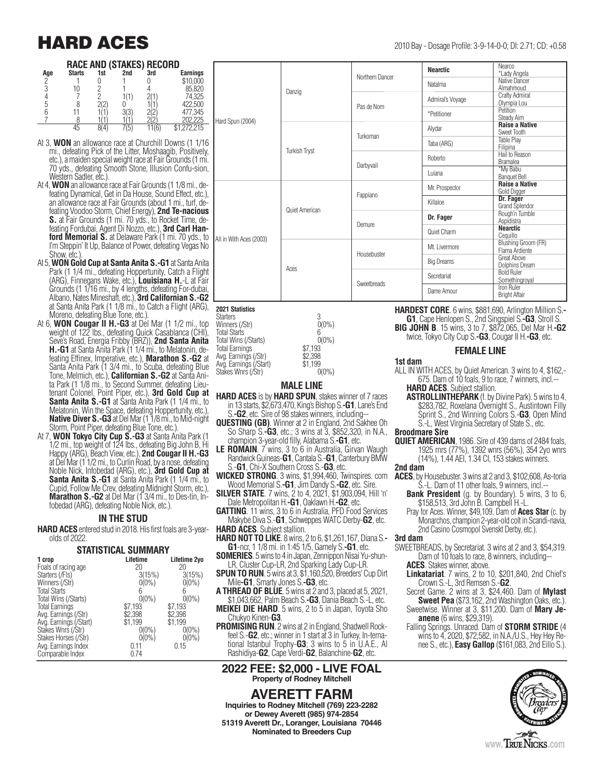## **HARD ACES** 2010 Bay - Dosage Profile: 3-9-14-0-0; DI: 2.71; CD: +0.58

#### **RACE AND (STAKES) RECORD**

| Age | <b>Starts</b> | 1st | 2nd | 3rd | <b>Earnings</b> |
|-----|---------------|-----|-----|-----|-----------------|
| C,  |               |     |     |     | \$10,000        |
|     |               |     |     |     | 85,820          |
|     |               |     |     |     | 74,325          |
| 5   |               |     |     |     | 422,500         |
|     |               |     |     |     | 477,345         |
|     |               |     |     |     | 202.225         |
|     | 45            |     |     |     | \$1,272,215     |

- At 3, **WON** an allowance race at Churchill Downs (1 1/16 mi., defeating Pick of the Litter, Moshaagib, Positively, etc.), a maiden special weight race at Fair Grounds (1 mi. 70 yds., defeating Smooth Stone, Illusion Confu-sion, Western Sadler, etc.).<br>At 4, **WON** an allowance race at Fair Grounds (1 1/8 mi., de-
- feating Dynamical, Get in Da House, Sound Effect, etc.), an allowance race at Fair Grounds (about 1 mi., turf. defeating Voodoo Storm, Chief Energy), **2nd Te-nacious**<br>**S.** at Fair Grounds (1 mi. 70 yds., to Rocket Time, defeating Fordubai, Agent Di Nozzo, etc.), **3rd Carl Han- ford Memorial S.** at Delaware Park (1 mi. 70 yds., to I'm Steppin' It Up, Balance of Power, defeating Vegas No Show, etc.)
- At 5, **WON Gold Cup at Santa Anita S.-G1** at Santa Anita Park (1 1/4 mi., defeating Hoppertunity, Catch a Flight (ARG), Finnegans Wake, etc.), **Louisiana H.**-L at Fair Grounds (1 1/16 mi., by 4 lengths, defeating For-dubai, Albano, Nates Mineshaft, etc.), **3rd Californian S.-G2** at Santa Anita Park (1 1/8 mi., to Catch a Flight (ARG), Moreno, defeating Blue Tone, etc.).
- At 6, **WON Cougar II H.-G3** at Del Mar (1 1/2 mi., top weight of 122 lbs., defeating Quick Casablanca (CHI), Seve's Road, Energia Fribby (BRZ)), **2nd Santa Anita H.-G1** at Santa Anita Park (1 1/4 mi., to Melatonin, de-<br>feating Effinex, Imperative, etc.), **Marathon S.-G2** at Santa Anita Park (1 3/4 mi., to Scuba, defeating Blue Tone, Melmich, etc.), **Californian S.-G2** at Santa Anita Park (1 1/8 mi., to Second Summer, defeating Lieutenant Colonel, Point Piper, etc.), **3rd Gold Cup at Santa Anita S.-G1** at Santa Anita Park (1 1/4 mi., to Melatonin, Win the Space, defeating Hoppertunity, etc.) **Native Diver S.-G3** at Del Mar (1 1/8 mi., to Mid-night Storm, Point Piper, defeating Blue Tone, etc.).
- At 7, **WON Tokyo City Cup S.-G3** at Santa Anita Park (1 1/2 mi., top weight of 124 lbs., defeating Big John B, Hi Happy (ARG), Beach View, etc.), **2nd Cougar II H.-G3** at Del Mar (1 1/2 mi., to Curlin Road, by a nose, defeating Noble Nick, Infobedad (ARG), etc.), **3rd Gold Cup at Santa Anita S.-G1** at Santa Anita Park (1 1/4 mi., to Cupid, Follow Me Crev, defeating Midnight Storm, etc.), **Marathon S.-G2** at Del Mar (1 3/4 mi., to Des-tin, In-<br>fobedad (ARG), defeating Noble Nick, etc.).

#### **IN THE STUD**

**HARD ACES** entered stud in 2018. His first foals are 3-yearolds of 2022.

### **STATISTICAL SUMMARY 1 crop Lifetime Lifetime 2yo**

| i grup                 | <b>L</b> ieding | <b>LIIGUIIIG ZVU</b> |
|------------------------|-----------------|----------------------|
| Foals of racing age    | 20              | 20                   |
| Starters (/Fls)        | 3(15%)          | 3(15%)               |
| Winners (/Str)         | $0(0\%)$        | $0(0\%)$             |
| <b>Total Starts</b>    | 6               | 6                    |
| Total Wins (/Starts)   | $0(0\%)$        | $0(0\%)$             |
| <b>Total Earnings</b>  | \$7,193         | \$7,193              |
| Avg. Earnings (/Str)   | \$2,398         | \$2,398              |
| Avg. Earnings (/Start) | \$1,199         | \$1,199              |
| Stakes Wnrs (/Str)     | $0(0\%)$        | $0(0\%)$             |
| Stakes Horses (/Str)   | $0(0\%)$        | $0(0\%)$             |
| Avg. Earnings Index    | 0.11            | 0.15                 |
| Comparable Index       | 0.74            |                      |
|                        |                 |                      |

| 2010 Bay - Dosage Profile: 3-9-14-0-0; DI: 2.71; CD: + |  |  |  |
|--------------------------------------------------------|--|--|--|
|--------------------------------------------------------|--|--|--|

|                         | Danzig               | Northern Dancer | <b>Nearctic</b>   | Nearco                     |
|-------------------------|----------------------|-----------------|-------------------|----------------------------|
|                         |                      |                 |                   | *Lady Angela               |
|                         |                      |                 | Natalma           | Native Dancer              |
|                         |                      |                 |                   | Almahmoud                  |
|                         |                      | Pas de Nom      | Admiral's Voyage  | Crafty Admiral             |
|                         |                      |                 |                   | Olympia Lou                |
|                         |                      |                 | *Petitioner       | Petition                   |
| Hard Spun (2004)        |                      |                 |                   | Steady Aim                 |
|                         | <b>Turkish Tryst</b> | Turkoman        | Alydar            | <b>Raise a Native</b>      |
|                         |                      |                 |                   | Sweet Tooth                |
|                         |                      |                 | Taba (ARG)        | <b>Table Play</b>          |
|                         |                      |                 |                   | Filipina<br>Hail to Reason |
|                         |                      |                 | Roberto           | <b>Bramalea</b>            |
|                         |                      | Darbyvail       |                   | *My Babu                   |
|                         |                      |                 | Luiana            | <b>Banquet Bell</b>        |
|                         |                      |                 |                   | <b>Raise a Native</b>      |
|                         |                      |                 | Mr. Prospector    | Gold Digger                |
|                         | Quiet American       | Fappiano        |                   | Dr. Fager                  |
|                         |                      |                 | Killaloe          | Grand Splendor             |
|                         |                      |                 |                   | Rough'n Tumble             |
|                         |                      | Demure          | Dr. Fager         | Aspidistra                 |
|                         |                      |                 |                   | <b>Nearctic</b>            |
|                         |                      |                 | Quiet Charm       | Cequillo                   |
| All in With Aces (2003) | Aces                 |                 |                   | <b>Blushing Groom (FR)</b> |
|                         |                      | Housebuster     | Mt. Livermore     | Flama Ardiente             |
|                         |                      |                 |                   | <b>Great Above</b>         |
|                         |                      |                 | <b>Big Dreams</b> | Dolphins Dream             |
|                         |                      |                 | Secretariat       | <b>Bold Ruler</b>          |
|                         |                      | Sweetbreads     |                   | Somethingroyal             |
|                         |                      |                 | Dame Amour        | Iron Ruler                 |
|                         |                      |                 |                   | <b>Bright Affair</b>       |
|                         |                      |                 |                   |                            |

**2021 Statistics** Starters 3 Winners (/Str) 0<br>Total Starts 6 Total Starts (Starts) 6<br>Total Wins (/Starts) (1996) Total Wins (/Starts) 0(0%) Total Earnings \$7,193 Avg. Earnings (/Str)  $\frac{1}{2}$ <br>
Avg. Earnings (/Start) \$1,199 Avg. Earnings (/Start)<br>Stakes Wnrs (/Str) 600%) Stakes Wnrs (/Str)



#### **MALE LINE**

- **HARD ACES** is by **HARD SPUN**, stakes winner of 7 races in 13 starts, \$2,673,470, King's Bishop S.**-G1**, Lane's End
- S.**-G2**, etc. Sire of 98 stakes winners, including-- **QUESTING (GB)**. Winner at 2 in England, 2nd Sakhee Oh So Sharp S.**-G3**, etc.; 3 wins at 3, \$852,320, in N.A.,
- champion 3-year-old filly, Alabama S.**-G1**, etc. **LE ROMAIN**. 7 wins, 3 to 6 in Australia, Girvan Waugh Randwick Guineas-**G1**, Cantala S.-**G1**, Canterbury BMW S.-**G1**, Chi-X Southern Cross S.-**G3**, etc.
- **WICKED STRONG**. 3 wins, \$1,994,460, Twinspires. com Wood Memorial S.**-G1**, Jim Dandy S.**-G2**, etc. Sire.
- **SILVER STATE**. 7 wins, 2 to 4, 2021, \$1,903,094, Hill 'n' Dale Metropolitan H.**-G1**, Oaklawn H.**-G2**, etc.
- **GATTING**. 11 wins, 3 to 6 in Australia, PFD Food Services

Makybe Diva S.-**G1**, Schweppes WATC Derby-**G2**, etc. **HARD ACES**. Subject stallion.

- **HARD NOT TO LIKE**. 8 wins, 2 to 6, \$1,261,167, Diana S.**- G1**-ncr, 1 1/8 mi. in 1:45 1/5, Gamely S.**-G1**, etc.
- **SOMERIES**. 5 wins to 4 in Japan, Zennippon Nisai Yu-shun-LR, Cluster Cup-LR, 2nd Sparking Lady Cup-LR.
- **SPUN TO RUN**. 5 wins at 3, \$1,160,520, Breeders' Cup Dirt Mile**-G1**, Smarty Jones S.**-G3**, etc.
- **A THREAD OF BLUE**. 5 wins at 2 and 3, placed at 5, 2021, \$1,043,662, Palm Beach S.**-G3**, Dania Beach S.-L, etc.

**MEIKEI DIE HARD**. 5 wins, 2 to 5 in Japan, Toyota Sho Chukyo Kinen-**G3**.

**PROMISING RUN**. 2 wins at 2 in England, Shadwell Rockfeel S.-**G2**, etc.; winner in 1 start at 3 in Turkey, In-ternational Istanbul Trophy-**G3**; 3 wins to 5 in U.A.E., Al Rashidiya-**G2**, Cape Verdi-**G2**, Balanchine-**G2**, etc.

#### **2022 FEE: \$2,000 - LIVE FOAL Property of Rodney Mitchell**

**AVERETT FARM Inquiries to Rodney Mitchell (769) 223-2282 or Dewey Averett (985) 974-2854 51319 Averett Dr., Loranger, Louisiana 70446 Nominated to Breeders Cup**

**HARDEST CORE**. 6 wins, \$881,690, Arlington Million S.**- G1**, Cape Henlopen S., 2nd Singspiel S.**-G3**, Stroll S. **BIG JOHN B**. 15 wins, 3 to 7, \$872,065, Del Mar H.**-G2** twice, Tokyo City Cup S.**-G3**, Cougar II H.**-G3**, etc.

#### **FEMALE LINE**

#### **1st dam**

- ALL IN WITH ACES, by Quiet American. 3 wins to 4, \$162,- 675. Dam of 10 foals, 9 to race, 7 winners, incl.-- **HARD ACES**. Subject stallion.
	- **ASTROLLINTHEPARK** (f. by Divine Park). 5 wins to 4, \$283,782, Roxelana Overnight S., Austintown Filly Sprint S., 2nd Winning Colors S.-**G3**, Open Mind S.-L, West Virginia Secretary of State S., etc.

#### **Broodmare Sire**

**QUIET AMERICAN**, 1986. Sire of 439 dams of 2484 foals, 1925 rnrs (77%), 1392 wnrs (56%), 354 2yo wnrs (14%), 1.44 AEI, 1.34 CI, 153 stakes winners.

#### **2nd dam**

- **ACES**, by Housebuster. 3 wins at 2 and 3, \$102,608, As-toria S.-L. Dam of 11 other foals, 9 winners, incl.--
	- **Bank President** (g. by Boundary). 5 wins, 3 to 6, \$158,513, 3rd John B. Campbell H.-L.
	- Pray for Aces. Winner, \$49,109. Dam of **Aces Star** (c. by Monarchos, champion 2-year-old colt in Scandi-navia, 2nd Casino Cosmopol Svenskt Derby, etc.).

#### **3rd dam**

- SWEETBREADS, by Secretariat. 3 wins at 2 and 3, \$54,319. Dam of 10 foals to race, 8 winners, including-- **ACES**. Stakes winner, above.
	- **Linkatariat**. 7 wins, 2 to 10, \$201,840, 2nd Chief's
	- Crown S.-L, 3rd Remsen S.-**G2**. Secret Game. 2 wins at 3, \$24,460. Dam of **Mylast**
	- **Sweet Pea** (\$73,162, 2nd Washington Oaks, etc.). Sweetwise. Winner at 3, \$11,200. Dam of **Mary Je-**
	- **anene** (6 wins, \$29,319).
	- Falling Springs. Unraced. Dam of **STORM STRIDE** (4 wins to 4, 2020, \$72,582, in N.A./U.S., Hey Hey Renee S., etc.), **Easy Gallop** (\$161,083, 2nd Eillo S.).